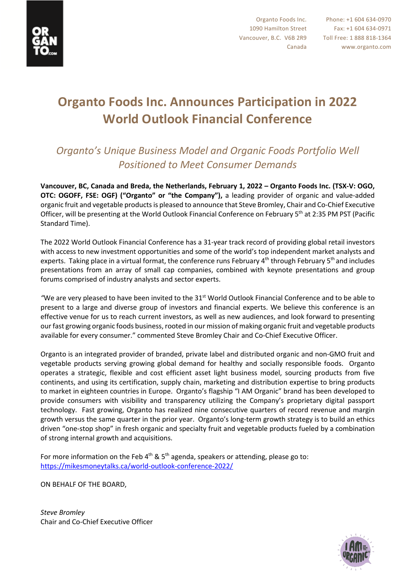

## **Organto Foods Inc. Announces Participation in 2022 World Outlook Financial Conference**

## *Organto's Unique Business Model and Organic Foods Portfolio Well Positioned to Meet Consumer Demands*

**Vancouver, BC, Canada and Breda, the Netherlands, February 1, 2022 – Organto Foods Inc. (TSX-V: OGO, OTC: OGOFF, FSE: OGF) ("Organto" or "the Company"),** a leading provider of organic and value-added organic fruit and vegetable productsis pleased to announce that Steve Bromley, Chair and Co-Chief Executive Officer, will be presenting at the World Outlook Financial Conference on February 5th at 2:35 PM PST (Pacific Standard Time).

The 2022 World Outlook Financial Conference has a 31-year track record of providing global retail investors with access to new investment opportunities and some of the world's top independent market analysts and experts. Taking place in a virtual format, the conference runs February  $4<sup>th</sup>$  through February 5<sup>th</sup> and includes presentations from an array of small cap companies, combined with keynote presentations and group forums comprised of industry analysts and sector experts.

"We are very pleased to have been invited to the 31<sup>st</sup> World Outlook Financial Conference and to be able to present to a large and diverse group of investors and financial experts. We believe this conference is an effective venue for us to reach current investors, as well as new audiences, and look forward to presenting our fast growing organic foods business, rooted in our mission of making organic fruit and vegetable products available for every consumer." commented Steve Bromley Chair and Co-Chief Executive Officer.

Organto is an integrated provider of branded, private label and distributed organic and non-GMO fruit and vegetable products serving growing global demand for healthy and socially responsible foods. Organto operates a strategic, flexible and cost efficient asset light business model, sourcing products from five continents, and using its certification, supply chain, marketing and distribution expertise to bring products to market in eighteen countries in Europe. Organto's flagship "I AM Organic" brand has been developed to provide consumers with visibility and transparency utilizing the Company's proprietary digital passport technology. Fast growing, Organto has realized nine consecutive quarters of record revenue and margin growth versus the same quarter in the prior year. Organto's long-term growth strategy is to build an ethics driven "one-stop shop" in fresh organic and specialty fruit and vegetable products fueled by a combination of strong internal growth and acquisitions.

For more information on the Feb  $4<sup>th</sup>$  & 5<sup>th</sup> agenda, speakers or attending, please go to: https://mikesmoneytalks.ca/world-outlook-conference-2022/

ON BEHALF OF THE BOARD,

*Steve Bromley* Chair and Co-Chief Executive Officer